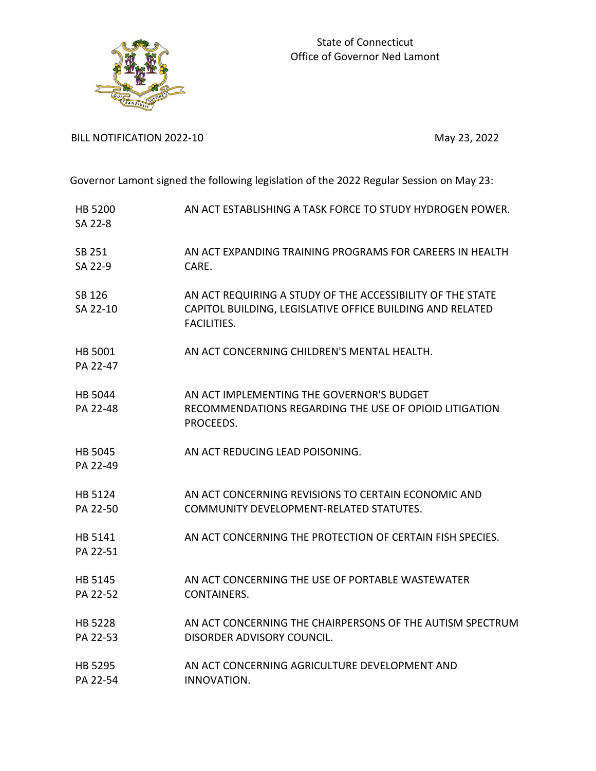

BILL NOTIFICATION 2022-10 May 23, 2022

Governor Lamont signed the following legislation of the 2022 Regular Session on May 23:

| HB 5200<br>SA 22-8  | AN ACT ESTABLISHING A TASK FORCE TO STUDY HYDROGEN POWER.                                                                                     |
|---------------------|-----------------------------------------------------------------------------------------------------------------------------------------------|
| SB 251<br>SA 22-9   | AN ACT EXPANDING TRAINING PROGRAMS FOR CAREERS IN HEALTH<br>CARE.                                                                             |
| SB 126<br>SA 22-10  | AN ACT REQUIRING A STUDY OF THE ACCESSIBILITY OF THE STATE<br>CAPITOL BUILDING, LEGISLATIVE OFFICE BUILDING AND RELATED<br><b>FACILITIES.</b> |
| HB 5001<br>PA 22-47 | AN ACT CONCERNING CHILDREN'S MENTAL HEALTH.                                                                                                   |
| HB 5044<br>PA 22-48 | AN ACT IMPLEMENTING THE GOVERNOR'S BUDGET<br>RECOMMENDATIONS REGARDING THE USE OF OPIOID LITIGATION<br>PROCEEDS.                              |
| HB 5045<br>PA 22-49 | AN ACT REDUCING LEAD POISONING.                                                                                                               |
| HB 5124<br>PA 22-50 | AN ACT CONCERNING REVISIONS TO CERTAIN ECONOMIC AND<br>COMMUNITY DEVELOPMENT-RELATED STATUTES.                                                |
| HB 5141<br>PA 22-51 | AN ACT CONCERNING THE PROTECTION OF CERTAIN FISH SPECIES.                                                                                     |
| HB 5145<br>PA 22-52 | AN ACT CONCERNING THE USE OF PORTABLE WASTEWATER<br>CONTAINERS.                                                                               |
| HB 5228<br>PA 22-53 | AN ACT CONCERNING THE CHAIRPERSONS OF THE AUTISM SPECTRUM<br>DISORDER ADVISORY COUNCIL.                                                       |
| HB 5295<br>PA 22-54 | AN ACT CONCERNING AGRICULTURE DEVELOPMENT AND<br>INNOVATION.                                                                                  |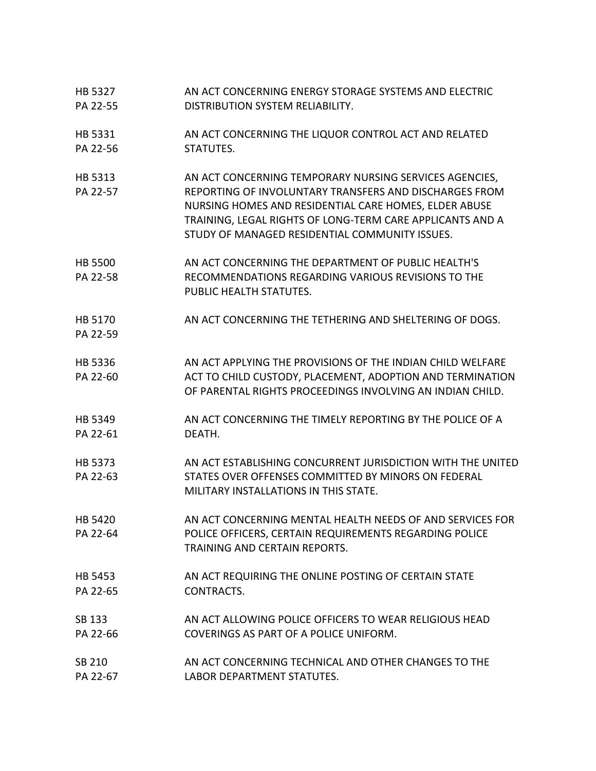HB 5327 PA 22-55 AN ACT CONCERNING ENERGY STORAGE SYSTEMS AND ELECTRIC DISTRIBUTION SYSTEM RELIABILITY. HB 5331 PA 22-56 AN ACT CONCERNING THE LIQUOR CONTROL ACT AND RELATED STATUTES. HB 5313 PA 22-57 AN ACT CONCERNING TEMPORARY NURSING SERVICES AGENCIES, REPORTING OF INVOLUNTARY TRANSFERS AND DISCHARGES FROM NURSING HOMES AND RESIDENTIAL CARE HOMES, ELDER ABUSE TRAINING, LEGAL RIGHTS OF LONG-TERM CARE APPLICANTS AND A STUDY OF MANAGED RESIDENTIAL COMMUNITY ISSUES. HB 5500 PA 22-58 AN ACT CONCERNING THE DEPARTMENT OF PUBLIC HEALTH'S RECOMMENDATIONS REGARDING VARIOUS REVISIONS TO THE PUBLIC HEALTH STATUTES. HB 5170 PA 22-59 AN ACT CONCERNING THE TETHERING AND SHELTERING OF DOGS. HB 5336 PA 22-60 AN ACT APPLYING THE PROVISIONS OF THE INDIAN CHILD WELFARE ACT TO CHILD CUSTODY, PLACEMENT, ADOPTION AND TERMINATION OF PARENTAL RIGHTS PROCEEDINGS INVOLVING AN INDIAN CHILD. HB 5349 PA 22-61 AN ACT CONCERNING THE TIMELY REPORTING BY THE POLICE OF A DEATH. HB 5373 PA 22-63 AN ACT ESTABLISHING CONCURRENT JURISDICTION WITH THE UNITED STATES OVER OFFENSES COMMITTED BY MINORS ON FEDERAL MILITARY INSTALLATIONS IN THIS STATE. HB 5420 PA 22-64 AN ACT CONCERNING MENTAL HEALTH NEEDS OF AND SERVICES FOR POLICE OFFICERS, CERTAIN REQUIREMENTS REGARDING POLICE TRAINING AND CERTAIN REPORTS. HB 5453 PA 22-65 AN ACT REQUIRING THE ONLINE POSTING OF CERTAIN STATE CONTRACTS. SB 133 PA 22-66 AN ACT ALLOWING POLICE OFFICERS TO WEAR RELIGIOUS HEAD COVERINGS AS PART OF A POLICE UNIFORM. SB 210 PA 22-67 AN ACT CONCERNING TECHNICAL AND OTHER CHANGES TO THE LABOR DEPARTMENT STATUTES.